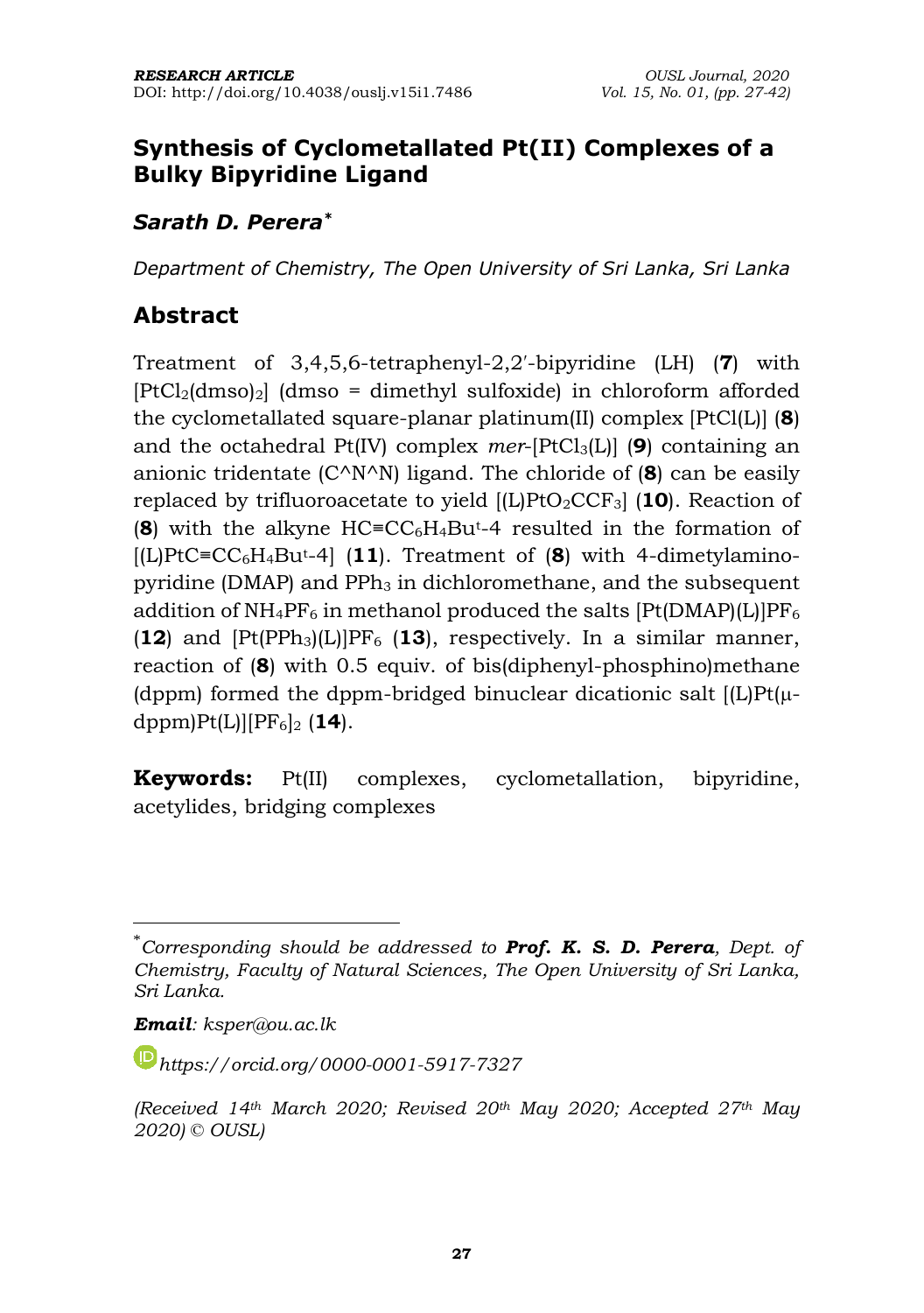### **Synthesis of Cyclometallated Pt(II) Complexes of a Bulky Bipyridine Ligand**

#### *Sarath D. Perera\**

*Department of Chemistry, The Open University of Sri Lanka, Sri Lanka*

### **Abstract**

Treatment of 3,4,5,6-tetraphenyl-2,2′-bipyridine (LH) (**7**) with  $[PtCl<sub>2</sub>(dmos)<sub>2</sub>]$  (dmso = dimethyl sulfoxide) in chloroform afforded the cyclometallated square-planar platinum(II) complex [PtCl(L)] (**8**) and the octahedral Pt(IV) complex *mer*-[PtCl3(L)] (**9**) containing an anionic tridentate (C^N^N) ligand. The chloride of (**8**) can be easily replaced by trifluoroacetate to yield [(L)PtO2CCF3] (**10**). Reaction of (**8**) with the alkyne HC≡CC6H4But-4 resulted in the formation of [(L)PtC≡CC6H4But-4] (**11**). Treatment of (**8**) with 4-dimetylaminopyridine (DMAP) and PPh<sub>3</sub> in dichloromethane, and the subsequent addition of  $NH_4PF_6$  in methanol produced the salts  $[Pt(DMAP)(L)]PF_6$  $(12)$  and  $[Pt(PPh<sub>3</sub>)(L)]PF<sub>6</sub>$  (13), respectively. In a similar manner, reaction of (**8**) with 0.5 equiv. of bis(diphenyl-phosphino)methane (dppm) formed the dppm-bridged binuclear dicationic salt  $[L]$ Pt $(\mu$ dppm)Pt(L)][PF6]<sup>2</sup> (**14**).

**Keywords:** Pt(II) complexes, cyclometallation, bipyridine, acetylides, bridging complexes

<sup>\*</sup>*Corresponding should be addressed to Prof. K. S. D. Perera, Dept. of Chemistry, Faculty of Natural Sciences, The Open University of Sri Lanka, Sri Lanka.* 

*Email: ksper@ou.ac.lk*

*[https://orcid.org/0](https://orcid.org/)000-0001-5917-7327*

*<sup>(</sup>Received 14th March 2020; Revised 20th May 2020; Accepted 27th May 2020) © OUSL)*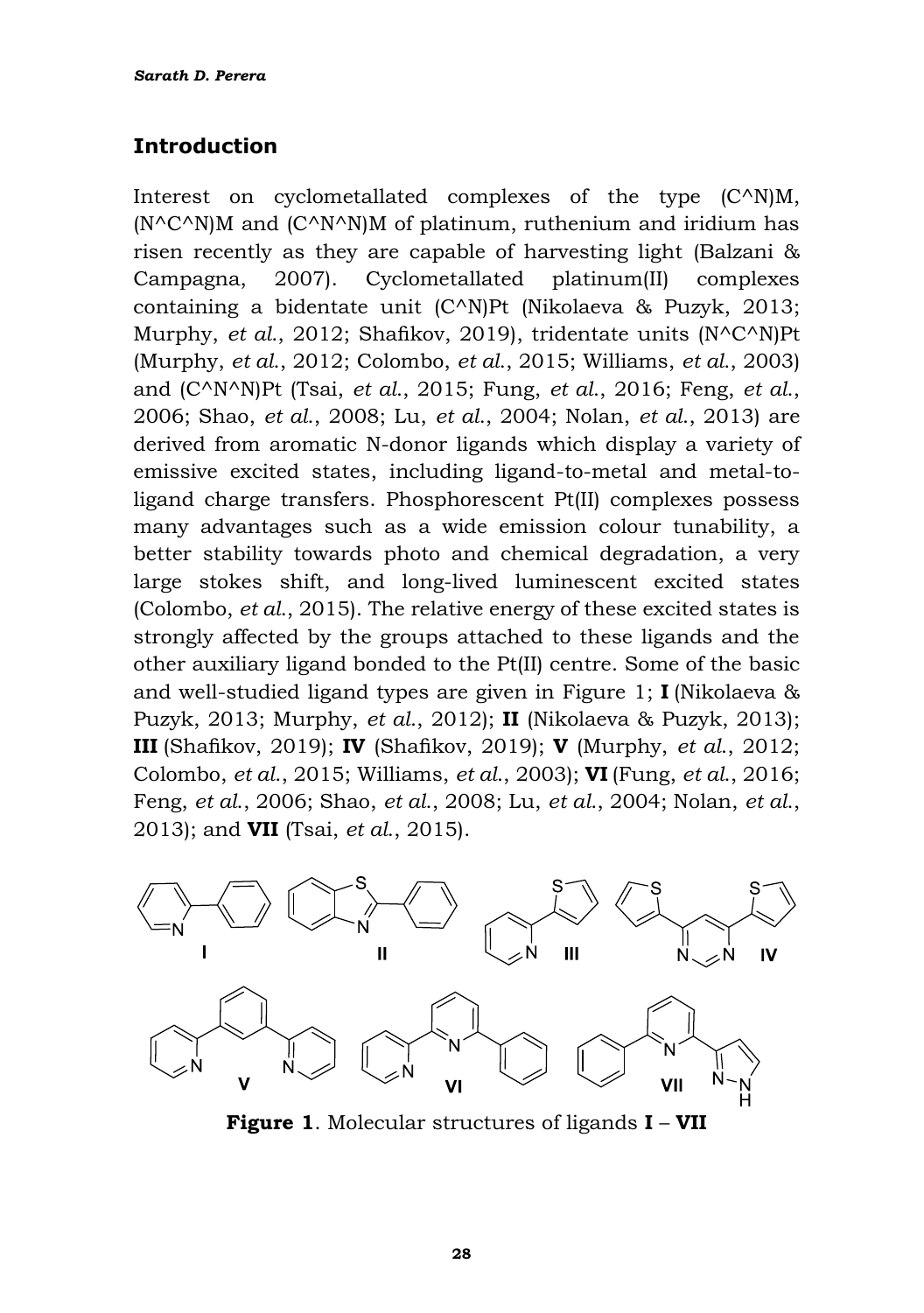#### **Introduction**

Interest on cyclometallated complexes of the type  $(C^{\wedge}N)M$ ,  $(N^{\wedge}C^{\wedge}N)M$  and  $(C^{\wedge}N^{\wedge}N)M$  of platinum, ruthenium and iridium has risen recently as they are capable of harvesting light (Balzani & Campagna, 2007). Cyclometallated platinum(II) complexes containing a bidentate unit (C^N)Pt (Nikolaeva & Puzyk, 2013; Murphy, *et al*., 2012; Shafikov, 2019), tridentate units (N^C^N)Pt (Murphy, *et al*., 2012; Colombo, *et al*., 2015; Williams, *et al*., 2003) and (C^N^N)Pt (Tsai, *et al*., 2015; Fung, *et al*., 2016; Feng, *et al*., 2006; Shao, *et al*., 2008; Lu, *et al*., 2004; Nolan, *et al*., 2013) are derived from aromatic N-donor ligands which display a variety of emissive excited states, including ligand-to-metal and metal-toligand charge transfers. Phosphorescent Pt(II) complexes possess many advantages such as a wide emission colour tunability, a better stability towards photo and chemical degradation, a very large stokes shift, and long-lived luminescent excited states (Colombo, *et al*., 2015). The relative energy of these excited states is strongly affected by the groups attached to these ligands and the other auxiliary ligand bonded to the Pt(II) centre. Some of the basic and well-studied ligand types are given in Figure 1; **I** (Nikolaeva & Puzyk, 2013; Murphy, *et al*., 2012); **II** (Nikolaeva & Puzyk, 2013); **III** (Shafikov, 2019); **IV** (Shafikov, 2019); **V** (Murphy, *et al*., 2012; Colombo, *et al*., 2015; Williams, *et al*., 2003); **VI** (Fung, *et al*., 2016; Feng, *et al*., 2006; Shao, *et al*., 2008; Lu, *et al*., 2004; Nolan, *et al*., 2013); and **VII** (Tsai, *et al*., 2015).



**Figure 1**. Molecular structures of ligands **I** – **VII**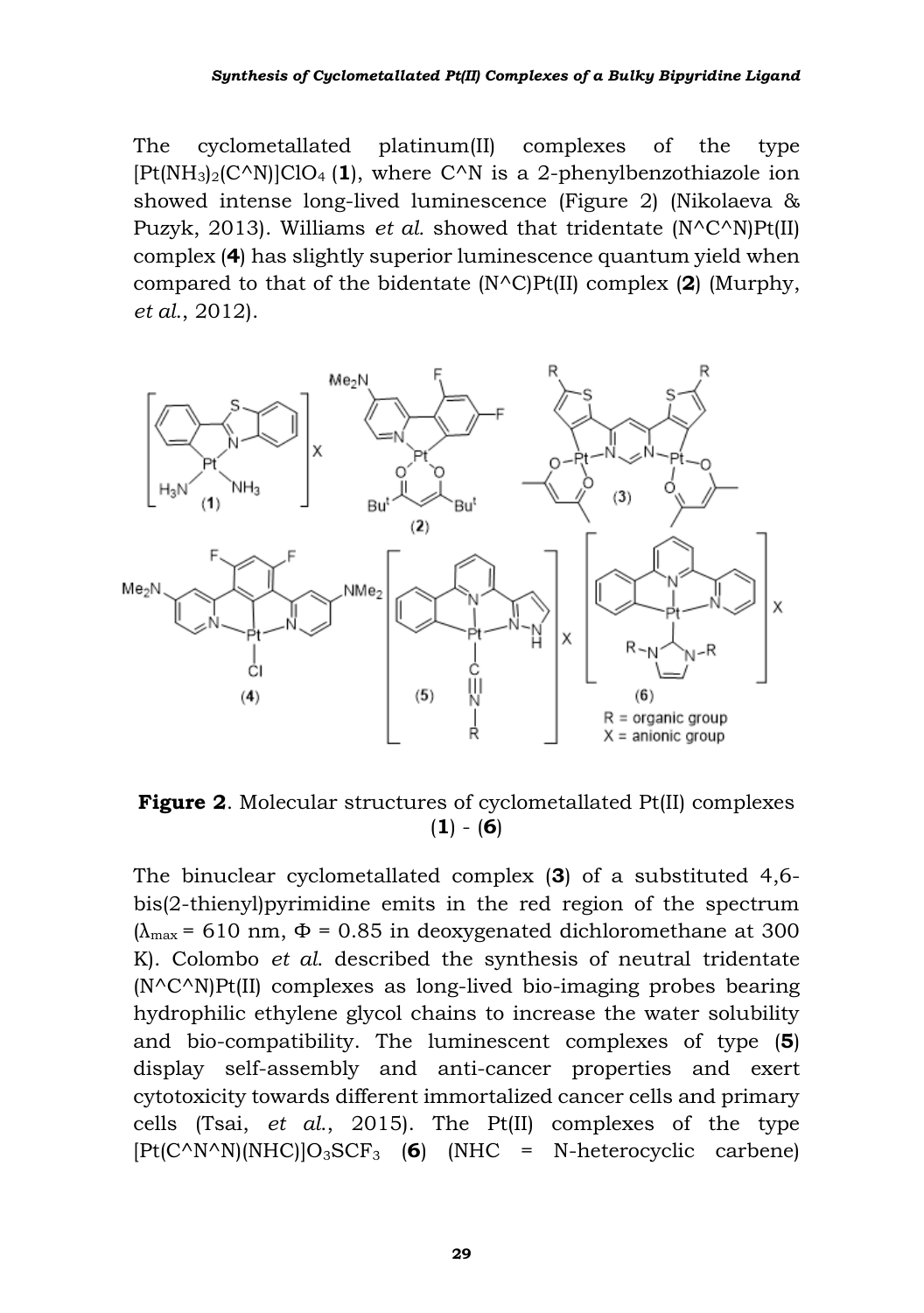The cyclometallated platinum(II) complexes of the type  $[Pt(NH<sub>3</sub>)<sub>2</sub>(C<sup>^</sup>N)]ClO<sub>4</sub>(1)$ , where C<sup> $^$ N</sup> is a 2-phenylbenzothiazole ion showed intense long-lived luminescence (Figure 2) (Nikolaeva & Puzyk, 2013). Williams *et al.* showed that tridentate (N^C^N)Pt(II) complex (**4**) has slightly superior luminescence quantum yield when compared to that of the bidentate (N^C)Pt(II) complex (**2**) (Murphy, *et al*., 2012).



**Figure 2**. Molecular structures of cyclometallated Pt(II) complexes (**1**) - (**6**)

The binuclear cyclometallated complex (**3**) of a substituted 4,6 bis(2-thienyl)pyrimidine emits in the red region of the spectrum  $(\lambda_{\text{max}} = 610 \text{ nm}, \Phi = 0.85 \text{ in deoxygenated dichloromethane at } 300$ K). Colombo *et al*. described the synthesis of neutral tridentate (N^C^N)Pt(II) complexes as long-lived bio-imaging probes bearing hydrophilic ethylene glycol chains to increase the water solubility and bio-compatibility. The luminescent complexes of type (**5**) display self-assembly and anti-cancer properties and exert cytotoxicity towards different immortalized cancer cells and primary cells (Tsai, *et al*., 2015). The Pt(II) complexes of the type [Pt(C^N^N)(NHC)]O3SCF<sup>3</sup> (**6**) (NHC = N-heterocyclic carbene)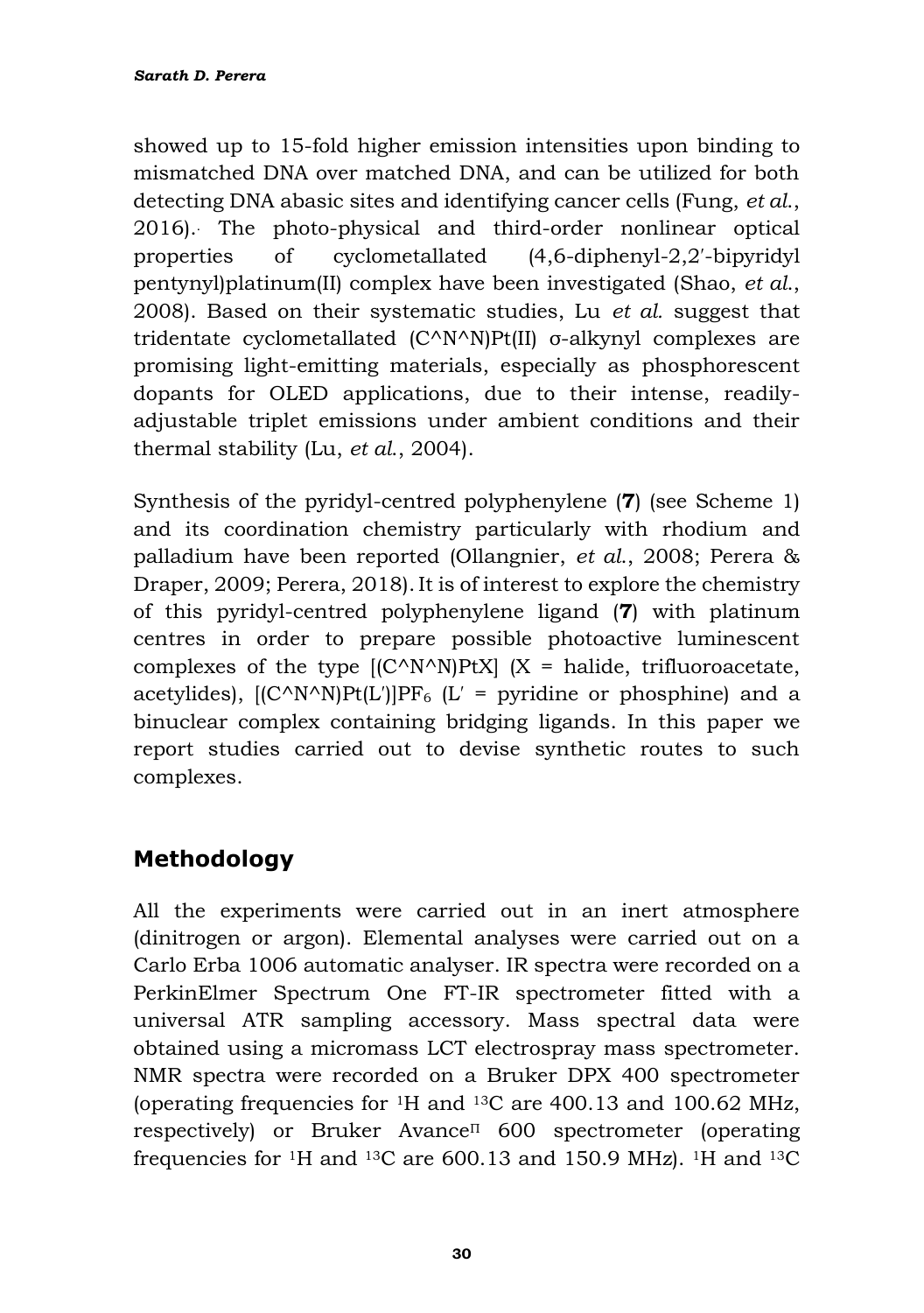showed up to 15-fold higher emission intensities upon binding to mismatched DNA over matched DNA, and can be utilized for both detecting DNA abasic sites and identifying cancer cells (Fung, *et al*., 2016). . The photo-physical and third-order nonlinear optical properties of cyclometallated (4,6-diphenyl-2,2′-bipyridyl pentynyl)platinum(II) complex have been investigated (Shao, *et al*., 2008). Based on their systematic studies, Lu *et al.* suggest that tridentate cyclometallated (C^N^N)Pt(II) σ-alkynyl complexes are promising light-emitting materials, especially as phosphorescent dopants for OLED applications, due to their intense, readilyadjustable triplet emissions under ambient conditions and their thermal stability (Lu, *et al*., 2004).

Synthesis of the pyridyl-centred polyphenylene (**7**) (see Scheme 1) and its coordination chemistry particularly with rhodium and palladium have been reported (Ollangnier, *et al*., 2008; Perera & Draper, 2009; Perera, 2018). It is of interest to explore the chemistry of this pyridyl-centred polyphenylene ligand (**7**) with platinum centres in order to prepare possible photoactive luminescent complexes of the type  $[(C^N N^N)PtX]$   $(X = \text{halide}, \text{trifluoroacetate},$ acetylides),  $[(C^N N^N)P_t(L')]PF_6$  (L' = pyridine or phosphine) and a binuclear complex containing bridging ligands. In this paper we report studies carried out to devise synthetic routes to such complexes.

# **Methodology**

All the experiments were carried out in an inert atmosphere (dinitrogen or argon). Elemental analyses were carried out on a Carlo Erba 1006 automatic analyser. IR spectra were recorded on a PerkinElmer Spectrum One FT-IR spectrometer fitted with a universal ATR sampling accessory. Mass spectral data were obtained using a micromass LCT electrospray mass spectrometer. NMR spectra were recorded on a Bruker DPX 400 spectrometer (operating frequencies for 1H and 13C are 400.13 and 100.62 MHz, respectively) or Bruker Avance<sup>Π</sup> 600 spectrometer (operating frequencies for 1H and <sup>13</sup>C are 600.13 and 150.9 MHz). 1H and 13C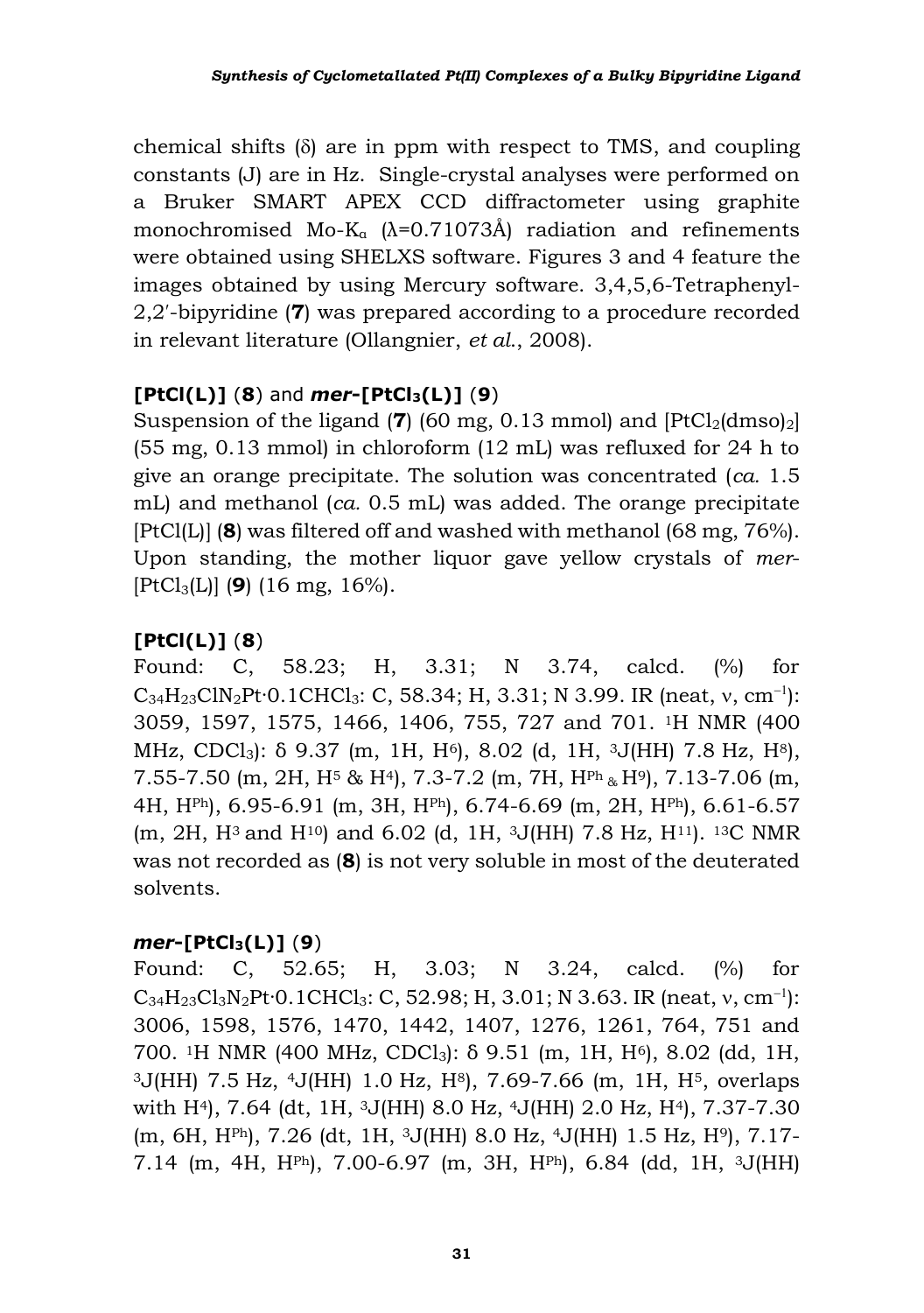chemical shifts  $(\delta)$  are in ppm with respect to TMS, and coupling constants (J) are in Hz. Single-crystal analyses were performed on a Bruker SMART APEX CCD diffractometer using graphite monochromised Mo-K<sub>a</sub>  $(\lambda=0.71073\text{\AA})$  radiation and refinements were obtained using SHELXS software. Figures 3 and 4 feature the images obtained by using Mercury software. 3,4,5,6-Tetraphenyl-2,2′-bipyridine (**7**) was prepared according to a procedure recorded in relevant literature (Ollangnier, *et al*., 2008).

#### **[PtCl(L)]** (**8**) and *mer***-[PtCl3(L)]** (**9**)

Suspension of the ligand (**7**) (60 mg, 0.13 mmol) and  $[PtCl<sub>2</sub>(dmos<sub>2</sub>)]$ (55 mg, 0.13 mmol) in chloroform (12 mL) was refluxed for 24 h to give an orange precipitate. The solution was concentrated (*ca.* 1.5 mL) and methanol (*ca.* 0.5 mL) was added. The orange precipitate [PtCl(L)] (**8**) was filtered off and washed with methanol (68 mg, 76%). Upon standing, the mother liquor gave yellow crystals of *mer*- [PtCl3(L)] (**9**) (16 mg, 16%).

#### **[PtCl(L)]** (**8**)

Found: C, 58.23; H, 3.31; N 3.74, calcd. (%) for  $C_{34}H_{23}CIN_2Pt \cdot 0.1CHCl_3$ : C, 58.34; H, 3.31; N 3.99. IR (neat, v, cm<sup>-1</sup>): 3059, 1597, 1575, 1466, 1406, 755, 727 and 701. 1H NMR (400 MHz, CDCl<sub>3</sub>):  $\delta$  9.37 (m, 1H, H<sup>6</sup>), 8.02 (d, 1H, <sup>3</sup>J(HH) 7.8 Hz, H<sup>8</sup>), 7.55-7.50 (m, 2H,  $H^5$  &  $H^4$ ), 7.3-7.2 (m, 7H,  $H^{Ph}$  &  $H^{9}$ ), 7.13-7.06 (m, 4H, HPh), 6.95-6.91 (m, 3H, HPh), 6.74-6.69 (m, 2H, HPh), 6.61-6.57 (m, 2H, H3 and H10) and 6.02 (d, 1H, 3J(HH) 7.8 Hz, H11). 13C NMR was not recorded as (**8**) is not very soluble in most of the deuterated solvents.

#### *mer***-[PtCl3(L)]** (**9**)

Found: C, 52.65; H, 3.03; N 3.24, calcd. (%) for  $C_{34}H_{23}Cl_{3}N_{2}Pt$ <sup>.</sup> $0.1CHCl_{3}$ : C, 52.98; H, 3.01; N 3.63. IR (neat, v, cm<sup>-1</sup>): 3006, 1598, 1576, 1470, 1442, 1407, 1276, 1261, 764, 751 and 700. <sup>1</sup>H NMR (400 MHz, CDCl<sub>3</sub>): δ 9.51 (m, 1H, H<sup>6</sup>), 8.02 (dd, 1H,  $3J(HH)$  7.5 Hz,  $4J(HH)$  1.0 Hz,  $H^8$ , 7.69-7.66 (m, 1H,  $H^5$ , overlaps with H4), 7.64 (dt, 1H, 3J(HH) 8.0 Hz, 4J(HH) 2.0 Hz, H4), 7.37-7.30 (m, 6H, HPh), 7.26 (dt, 1H, 3J(HH) 8.0 Hz, 4J(HH) 1.5 Hz, H9), 7.17- 7.14 (m, 4H, HPh), 7.00-6.97 (m, 3H, HPh), 6.84 (dd, 1H, 3J(HH)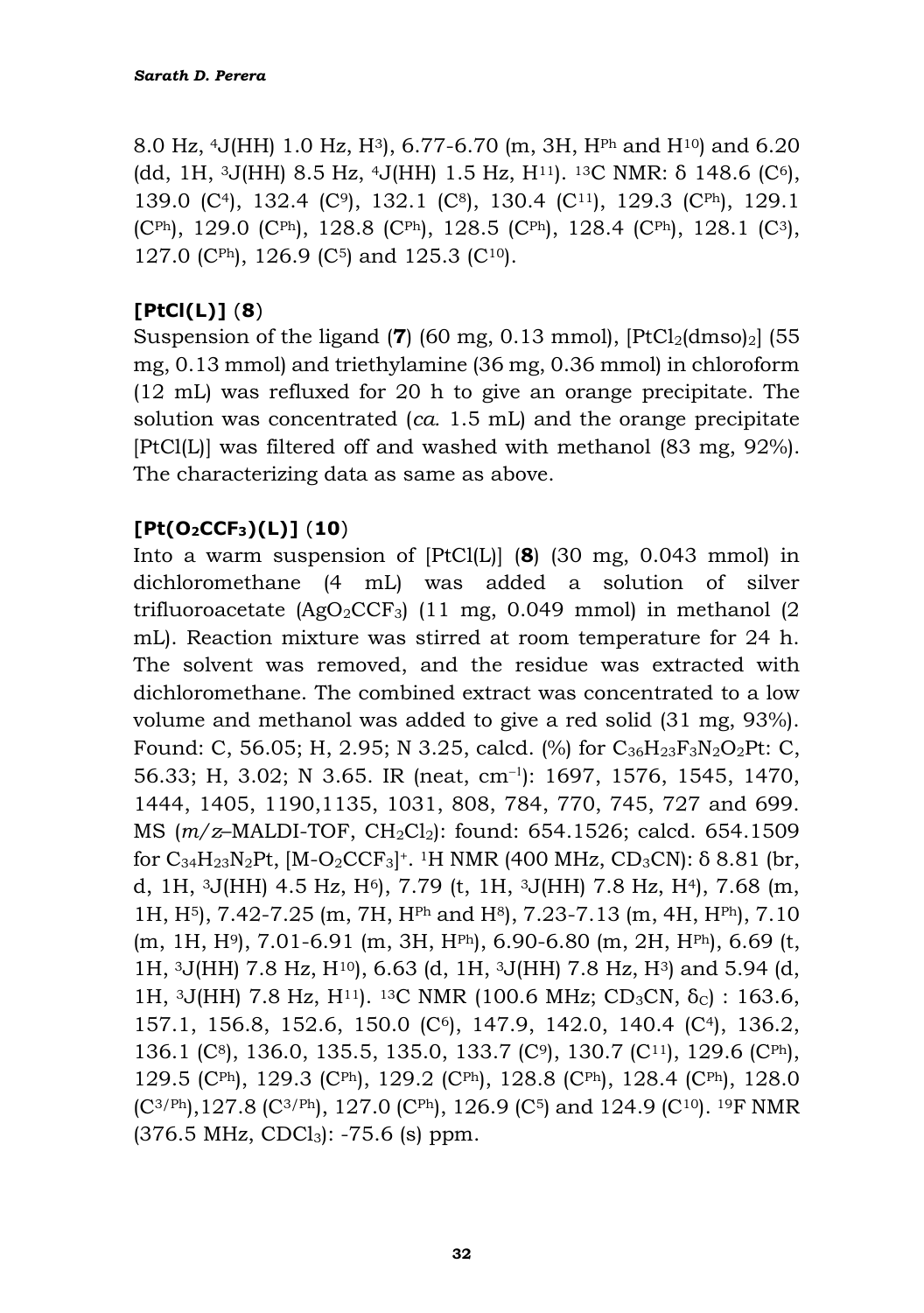8.0 Hz, <sup>4</sup>J(HH) 1.0 Hz,  $H^{3}$ ), 6.77-6.70 (m, 3H,  $H^{Ph}$  and  $H^{10}$ ) and 6.20 (dd, 1H,  $3J(HH)$  8.5 Hz,  $4J(HH)$  1.5 Hz,  $H^{11}$ ).  $13C$  NMR:  $\delta$  148.6 (C<sup>6</sup>), 139.0 (C<sup>4</sup>), 132.4 (C<sup>9</sup>), 132.1 (C<sup>8</sup>), 130.4 (C<sup>11</sup>), 129.3 (C<sup>Ph</sup>), 129.1 (CPh), 129.0 (CPh), 128.8 (CPh), 128.5 (CPh), 128.4 (CPh), 128.1 (C3), 127.0 (CPh), 126.9 (C5) and 125.3 (C10).

#### **[PtCl(L)]** (**8**)

Suspension of the ligand (**7**) (60 mg, 0.13 mmol),  $[PtCl<sub>2</sub>(dmso)<sub>2</sub>]$  (55 mg, 0.13 mmol) and triethylamine (36 mg, 0.36 mmol) in chloroform (12 mL) was refluxed for 20 h to give an orange precipitate. The solution was concentrated (*ca.* 1.5 mL) and the orange precipitate [PtCl(L)] was filtered off and washed with methanol (83 mg, 92%). The characterizing data as same as above.

#### **[Pt(O2CCF3)(L)]** (**10**)

Into a warm suspension of [PtCl(L)] (**8**) (30 mg, 0.043 mmol) in dichloromethane (4 mL) was added a solution of silver trifluoroacetate  $(AgO_2CCF_3)$  (11 mg, 0.049 mmol) in methanol (2) mL). Reaction mixture was stirred at room temperature for 24 h. The solvent was removed, and the residue was extracted with dichloromethane. The combined extract was concentrated to a low volume and methanol was added to give a red solid (31 mg, 93%). Found: C, 56.05; H, 2.95; N 3.25, calcd.  $\frac{1}{6}$  for  $C_{36}H_{23}F_{3}N_{2}O_{2}Pt$ : C, 56.33; H, 3.02; N 3.65. IR (neat, cm− ): 1697, 1576, 1545, 1470, 1444, 1405, 1190,1135, 1031, 808, 784, 770, 745, 727 and 699. MS (*m/z*–MALDI-TOF, CH2Cl2): found: 654.1526; calcd. 654.1509 for  $C_{34}H_{23}N_2Pt$ ,  $[M-O_2CCF_3]^+$ . <sup>1</sup>H NMR (400 MHz, CD<sub>3</sub>CN):  $\delta$  8.81 (br, d, 1H,  $3J(HH)$  4.5 Hz,  $H^6$ , 7.79 (t, 1H,  $3J(HH)$  7.8 Hz,  $H^4$ ), 7.68 (m, 1H, H5), 7.42-7.25 (m, 7H, HPh and H8), 7.23-7.13 (m, 4H, HPh), 7.10 (m, 1H, H9), 7.01-6.91 (m, 3H, HPh), 6.90-6.80 (m, 2H, HPh), 6.69 (t, 1H,  $3J(HH)$  7.8 Hz,  $H^{10}$ , 6.63 (d, 1H,  $3J(HH)$  7.8 Hz,  $H^{3}$ ) and 5.94 (d, 1H, 3J(HH) 7.8 Hz, H<sup>11</sup>). <sup>13</sup>C NMR (100.6 MHz; CD<sub>3</sub>CN, δ<sub>C</sub>): 163.6, 157.1, 156.8, 152.6, 150.0 (C6), 147.9, 142.0, 140.4 (C4), 136.2, 136.1 (C8), 136.0, 135.5, 135.0, 133.7 (C9), 130.7 (C11), 129.6 (CPh), 129.5 (CPh), 129.3 (CPh), 129.2 (CPh), 128.8 (CPh), 128.4 (CPh), 128.0  $(C^{3/Ph})$ , 127.8  $(C^{3/Ph})$ , 127.0  $(C^{Ph})$ , 126.9  $(C^5)$  and 124.9  $(C^{10})$ . <sup>19</sup>F NMR  $(376.5 \text{ MHz}, \text{CDCl}_3): -75.6 \text{ (s)} \text{ ppm}.$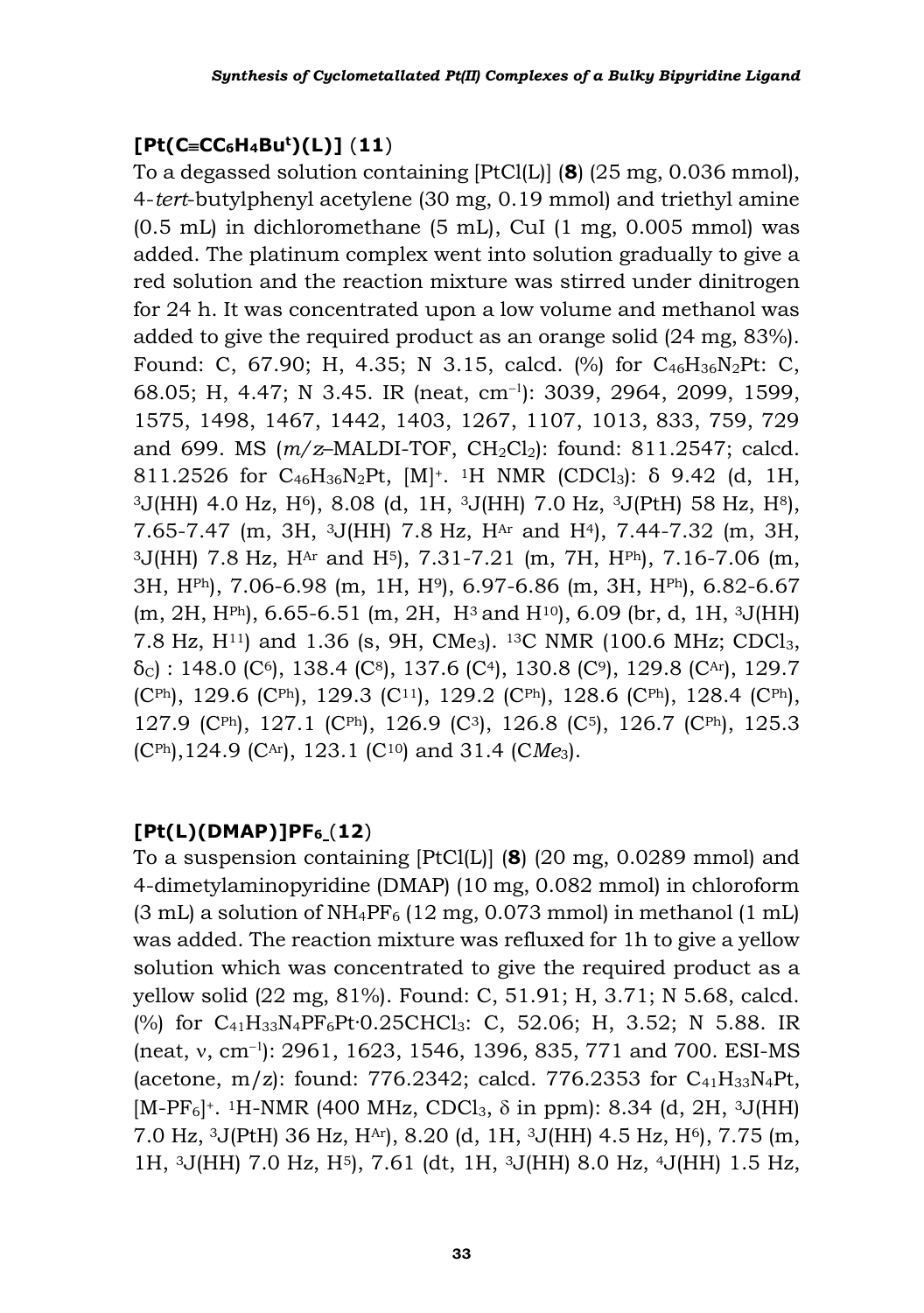#### **[Pt(CCC6H4Bu<sup>t</sup>)(L)]** (**11**)

To a degassed solution containing [PtCl(L)] (**8**) (25 mg, 0.036 mmol), 4-*tert*-butylphenyl acetylene (30 mg, 0.19 mmol) and triethyl amine (0.5 mL) in dichloromethane (5 mL), CuI (1 mg, 0.005 mmol) was added. The platinum complex went into solution gradually to give a red solution and the reaction mixture was stirred under dinitrogen for 24 h. It was concentrated upon a low volume and methanol was added to give the required product as an orange solid (24 mg, 83%). Found: C, 67.90; H, 4.35; N 3.15, calcd. (%) for C<sub>46</sub>H<sub>36</sub>N<sub>2</sub>Pt: C, 68.05; H, 4.47; N 3.45. IR (neat, cm− ): 3039, 2964, 2099, 1599, 1575, 1498, 1467, 1442, 1403, 1267, 1107, 1013, 833, 759, 729 and 699. MS ( $m/z$ -MALDI-TOF, CH<sub>2</sub>Cl<sub>2</sub>): found: 811.2547; calcd. 811.2526 for C<sub>46</sub>H<sub>36</sub>N<sub>2</sub>Pt, [M]<sup>+</sup>. <sup>1</sup>H NMR (CDCl<sub>3</sub>): δ 9.42 (d, 1H,  $3J(HH)$  4.0 Hz, H<sup>6</sup>, 8.08 (d, 1H,  $3J(HH)$  7.0 Hz,  $3J(PtH)$  58 Hz, H<sup>8</sup>), 7.65-7.47 (m, 3H,  $3J(HH)$  7.8 Hz,  $H<sup>Ar</sup>$  and  $H<sup>4</sup>$ ), 7.44-7.32 (m, 3H, <sup>3</sup>J(HH) 7.8 Hz, HAr and H5), 7.31-7.21 (m, 7H, HPh), 7.16-7.06 (m, 3H, HPh), 7.06-6.98 (m, 1H, H9), 6.97-6.86 (m, 3H, HPh), 6.82-6.67  $(m, 2H, H^{Ph})$ , 6.65-6.51  $(m, 2H, H^3$  and  $H^{10}$ ), 6.09 (br, d, 1H, <sup>3</sup>J(HH) 7.8 Hz,  $H^{11}$ ) and 1.36 (s, 9H, CMe<sub>3</sub>). <sup>13</sup>C NMR (100.6 MHz; CDCl<sub>3</sub>,  $\delta$ <sub>C</sub>) : 148.0 (C<sup>6</sup>), 138.4 (C<sup>8</sup>), 137.6 (C<sup>4</sup>), 130.8 (C<sup>9</sup>), 129.8 (C<sup>Ar</sup>), 129.7 (CPh), 129.6 (CPh), 129.3 (C<sup>11</sup>), 129.2 (CPh), 128.6 (CPh), 128.4 (CPh), 127.9 (CPh), 127.1 (CPh), 126.9 (C3), 126.8 (C5), 126.7 (CPh), 125.3 (CPh),124.9 (CAr), 123.1 (C10) and 31.4 (C*Me*3).

#### **[Pt(L)(DMAP)]PF<sup>6</sup>** (**12**)

To a suspension containing [PtCl(L)] (**8**) (20 mg, 0.0289 mmol) and 4-dimetylaminopyridine (DMAP) (10 mg, 0.082 mmol) in chloroform  $(3 \text{ mL})$  a solution of NH<sub>4</sub>PF<sub>6</sub>  $(12 \text{ mg}, 0.073 \text{ mmol})$  in methanol  $(1 \text{ mL})$ was added. The reaction mixture was refluxed for 1h to give a yellow solution which was concentrated to give the required product as a yellow solid (22 mg, 81%). Found: C, 51.91; H, 3.71; N 5.68, calcd. (%) for C<sub>41</sub>H<sub>33</sub>N<sub>4</sub>PF<sub>6</sub>Pt·0.25CHCl<sub>3</sub>: C, 52.06; H, 3.52; N 5.88. IR (neat, v, cm<sup>-1</sup>): 2961, 1623, 1546, 1396, 835, 771 and 700. ESI-MS (acetone, m/z): found: 776.2342; calcd. 776.2353 for  $C_{41}H_{33}N_{4}Pt$ ,  $[M-PF<sub>6</sub>]$ <sup>+</sup>. <sup>1</sup>H-NMR (400 MHz, CDCl<sub>3</sub>,  $\delta$  in ppm): 8.34 (d, 2H, <sup>3</sup>J(HH) 7.0 Hz, 3J(PtH) 36 Hz, HAr), 8.20 (d, 1H, 3J(HH) 4.5 Hz, H6), 7.75 (m, 1H, 3J(HH) 7.0 Hz, H5), 7.61 (dt, 1H, 3J(HH) 8.0 Hz, 4J(HH) 1.5 Hz,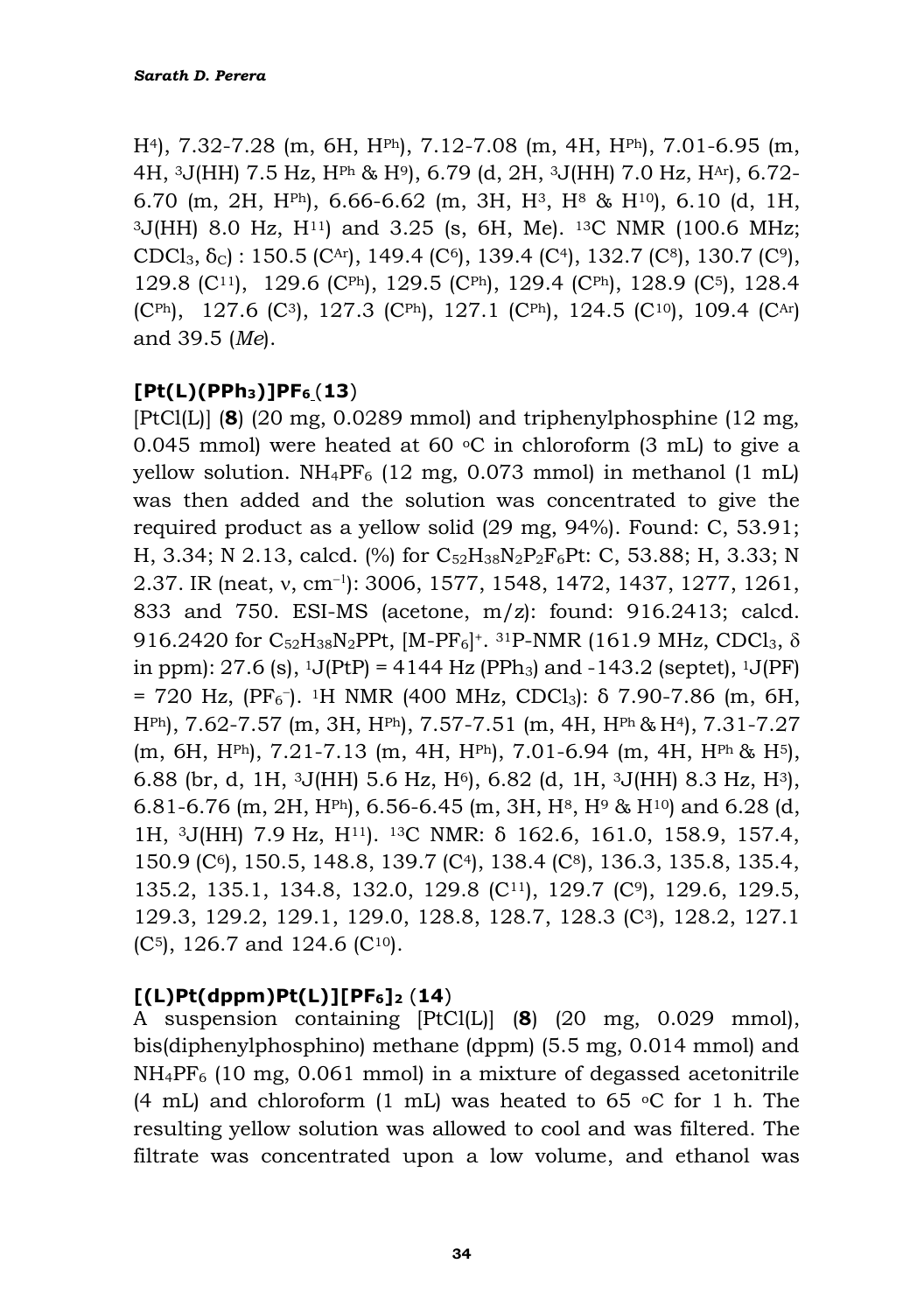H4), 7.32-7.28 (m, 6H, HPh), 7.12-7.08 (m, 4H, HPh), 7.01-6.95 (m, 4H, 3J(HH) 7.5 Hz, HPh & H9), 6.79 (d, 2H, 3J(HH) 7.0 Hz, HAr), 6.72- 6.70 (m, 2H, HPh), 6.66-6.62 (m, 3H, H3, H<sup>8</sup> & H10), 6.10 (d, 1H, <sup>3</sup>J(HH) 8.0 Hz, H11) and 3.25 (s, 6H, Me). 13C NMR (100.6 MHz; CDCl<sub>3</sub>,  $\delta$ <sub>C</sub>) : 150.5 (C<sup>Ar</sup>), 149.4 (C<sup>6</sup>), 139.4 (C<sup>4</sup>), 132.7 (C<sup>8</sup>), 130.7 (C<sup>9</sup>), 129.8 (C11), 129.6 (CPh), 129.5 (CPh), 129.4 (CPh), 128.9 (C5), 128.4  $(C<sup>Ph</sup>), 127.6 (C<sup>3</sup>), 127.3 (C<sup>Ph</sup>), 127.1 (C<sup>Ph</sup>), 124.5 (C<sup>10</sup>), 109.4 (C<sup>Ar</sup>)$ and 39.5 (*Me*).

#### **[Pt(L)(PPh3)]PF<sup>6</sup>** (**13**)

[PtCl(L)] (**8**) (20 mg, 0.0289 mmol) and triphenylphosphine (12 mg, 0.045 mmol) were heated at 60  $\degree$ C in chloroform (3 mL) to give a yellow solution.  $NH_4PF_6$  (12 mg, 0.073 mmol) in methanol (1 mL) was then added and the solution was concentrated to give the required product as a yellow solid (29 mg, 94%). Found: C, 53.91; H, 3.34; N 2.13, calcd. (%) for C52H38N2P2F6Pt: C, 53.88; H, 3.33; N 2.37. IR (neat, v, cm<sup>-1</sup>): 3006, 1577, 1548, 1472, 1437, 1277, 1261, 833 and 750. ESI-MS (acetone, m/z): found: 916.2413; calcd. 916.2420 for  $\rm{C}_{52}H_{38}N_{2}PPt$ , [M-PF<sub>6</sub>]<sup>+</sup>. <sup>31</sup>P-NMR (161.9 MHz, CDCl<sub>3</sub>,  $\delta$ in ppm):  $27.6$  (s),  $^1$ J(PtP) =  $4144$  Hz (PPh<sub>3</sub>) and  $-143.2$  (septet),  $^1$ J(PF)  $= 720$  Hz, (PF<sub>6</sub><sup>-</sup>). <sup>1</sup>H NMR (400 MHz, CDCl<sub>3</sub>): δ 7.90-7.86 (m, 6H, HPh), 7.62-7.57 (m, 3H, HPh), 7.57-7.51 (m, 4H, HPh & H4), 7.31-7.27 (m, 6H, HPh), 7.21-7.13 (m, 4H, HPh), 7.01-6.94 (m, 4H, HPh & H5), 6.88 (br, d, 1H,  $3J(HH)$  5.6 Hz,  $H<sup>6</sup>$ ), 6.82 (d, 1H,  $3J(HH)$  8.3 Hz,  $H<sup>3</sup>$ ), 6.81-6.76 (m, 2H, H<sup>Ph</sup>), 6.56-6.45 (m, 3H, H<sup>8</sup>, H<sup>9</sup> & H<sup>10</sup>) and 6.28 (d, 1H, 3J(HH) 7.9 Hz, H11). 13C NMR: δ 162.6, 161.0, 158.9, 157.4, 150.9 (C6), 150.5, 148.8, 139.7 (C4), 138.4 (C8), 136.3, 135.8, 135.4, 135.2, 135.1, 134.8, 132.0, 129.8 (C11), 129.7 (C9), 129.6, 129.5, 129.3, 129.2, 129.1, 129.0, 128.8, 128.7, 128.3 (C3), 128.2, 127.1  $(C<sup>5</sup>)$ , 126.7 and 124.6  $(C<sup>10</sup>)$ .

#### **[(L)Pt(dppm)Pt(L)][PF6]<sup>2</sup>** (**14**)

A suspension containing [PtCl(L)] (**8**) (20 mg, 0.029 mmol), bis(diphenylphosphino) methane (dppm) (5.5 mg, 0.014 mmol) and NH4PF<sup>6</sup> (10 mg, 0.061 mmol) in a mixture of degassed acetonitrile (4 mL) and chloroform (1 mL) was heated to 65  $\degree$ C for 1 h. The resulting yellow solution was allowed to cool and was filtered. The filtrate was concentrated upon a low volume, and ethanol was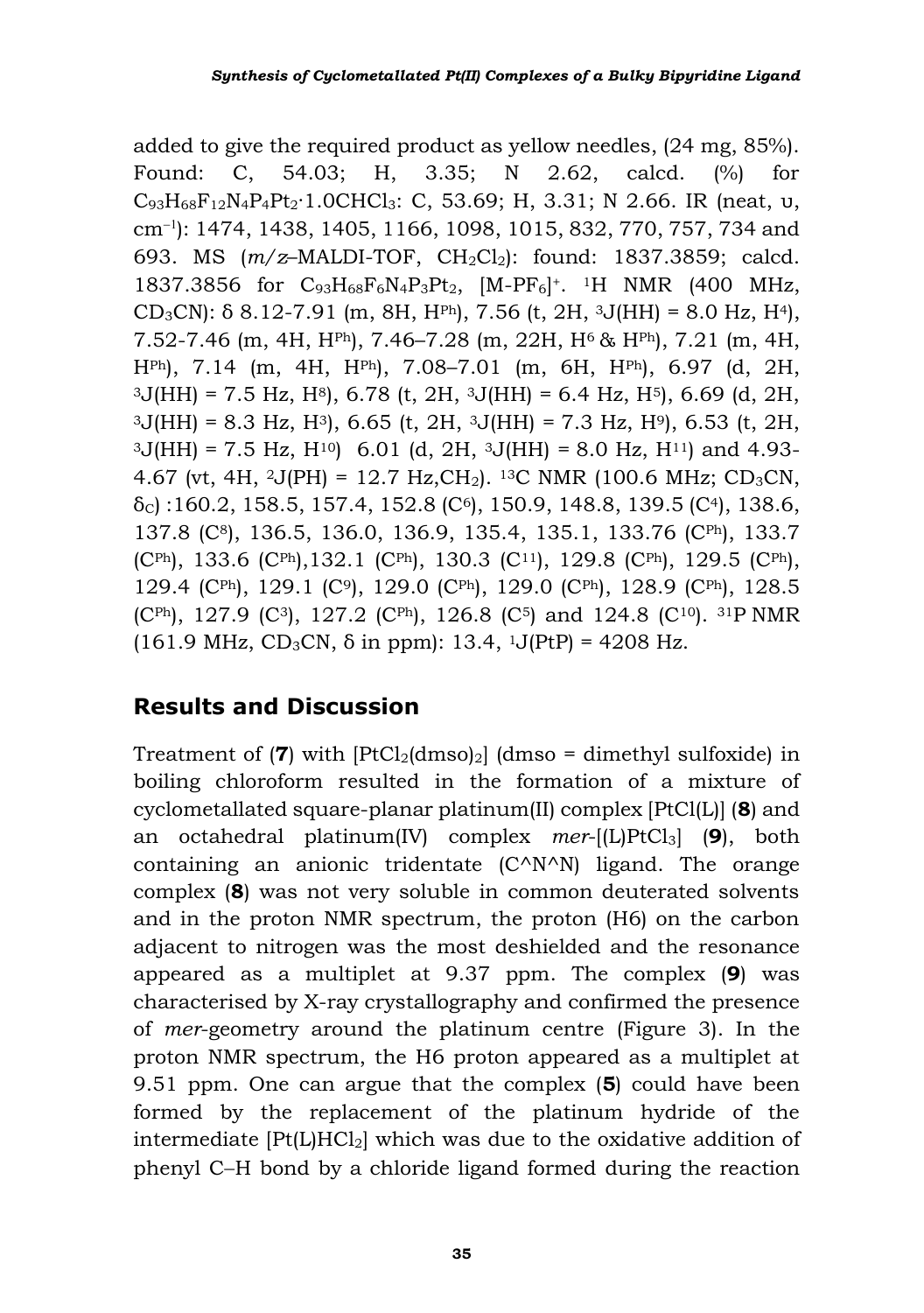added to give the required product as yellow needles, (24 mg, 85%). Found: C, 54.03; H, 3.35; N 2.62, calcd. (%) for  $C_{93}H_{68}F_{12}N_4P_4Pt_2 \cdot 1.0CHCl_3$ : C, 53.69; H, 3.31; N 2.66. IR (neat, υ, cm− ): 1474, 1438, 1405, 1166, 1098, 1015, 832, 770, 757, 734 and 693. MS  $(m/z$ -MALDI-TOF, CH<sub>2</sub>Cl<sub>2</sub>): found: 1837.3859; calcd. 1837.3856 for  $C_{93}H_{68}F_6N_4P_3Pt_2$ , [M-PF<sub>6</sub>]<sup>+</sup>. <sup>1</sup>H NMR (400 MHz, CD<sub>3</sub>CN): δ 8.12-7.91 (m, 8H, H<sup>ph</sup>), 7.56 (t, 2H, <sup>3</sup>J(HH) = 8.0 Hz, H<sup>4</sup>), 7.52-7.46 (m, 4H, HPh), 7.46–7.28 (m, 22H, H6 & HPh), 7.21 (m, 4H, HPh), 7.14 (m, 4H, HPh), 7.08–7.01 (m, 6H, HPh), 6.97 (d, 2H,  $3J(HH) = 7.5$  Hz, H $8$ , 6.78 (t, 2H,  $3J(HH) = 6.4$  Hz, H $5$ ), 6.69 (d, 2H,  $3J(HH) = 8.3$  Hz, H<sup>3</sup>, 6.65 (t, 2H,  $3J(HH) = 7.3$  Hz, H<sup>9</sup>), 6.53 (t, 2H,  $3J(HH) = 7.5$  Hz,  $H^{10}$  6.01 (d, 2H,  $3J(HH) = 8.0$  Hz,  $H^{11}$ ) and 4.93-4.67 (vt, 4H, 2J(PH) = 12.7 Hz, CH<sub>2</sub>). <sup>13</sup>C NMR (100.6 MHz; CD<sub>3</sub>CN,  $\delta$ <sub>C</sub>) :160.2, 158.5, 157.4, 152.8 (C<sup>6</sup>), 150.9, 148.8, 139.5 (C<sup>4</sup>), 138.6, 137.8 (C8), 136.5, 136.0, 136.9, 135.4, 135.1, 133.76 (CPh), 133.7 (CPh), 133.6 (CPh), 132.1 (CPh), 130.3 (C<sup>11</sup>), 129.8 (CPh), 129.5 (CPh), 129.4 (CPh), 129.1 (C9), 129.0 (CPh), 129.0 (CPh), 128.9 (CPh), 128.5 (CPh), 127.9 (C3), 127.2 (CPh), 126.8 (C5) and 124.8 (C10). 31P NMR (161.9 MHz,  $CD_3CN$ ,  $\delta$  in ppm): 13.4, <sup>1</sup>J(PtP) = 4208 Hz.

## **Results and Discussion**

Treatment of  $(7)$  with  $[PtCl<sub>2</sub>(dmso)<sub>2</sub>]$  (dmso = dimethyl sulfoxide) in boiling chloroform resulted in the formation of a mixture of cyclometallated square-planar platinum(II) complex [PtCl(L)] (**8**) and an octahedral platinum(IV) complex *mer*-[(L)PtCl3] (**9**), both containing an anionic tridentate (C^N^N) ligand. The orange complex (**8**) was not very soluble in common deuterated solvents and in the proton NMR spectrum, the proton (H6) on the carbon adjacent to nitrogen was the most deshielded and the resonance appeared as a multiplet at 9.37 ppm. The complex (**9**) was characterised by X-ray crystallography and confirmed the presence of *mer*-geometry around the platinum centre (Figure 3). In the proton NMR spectrum, the H6 proton appeared as a multiplet at 9.51 ppm. One can argue that the complex (**5**) could have been formed by the replacement of the platinum hydride of the intermediate  $[Pt(L)HC1<sub>2</sub>]$  which was due to the oxidative addition of phenyl C−H bond by a chloride ligand formed during the reaction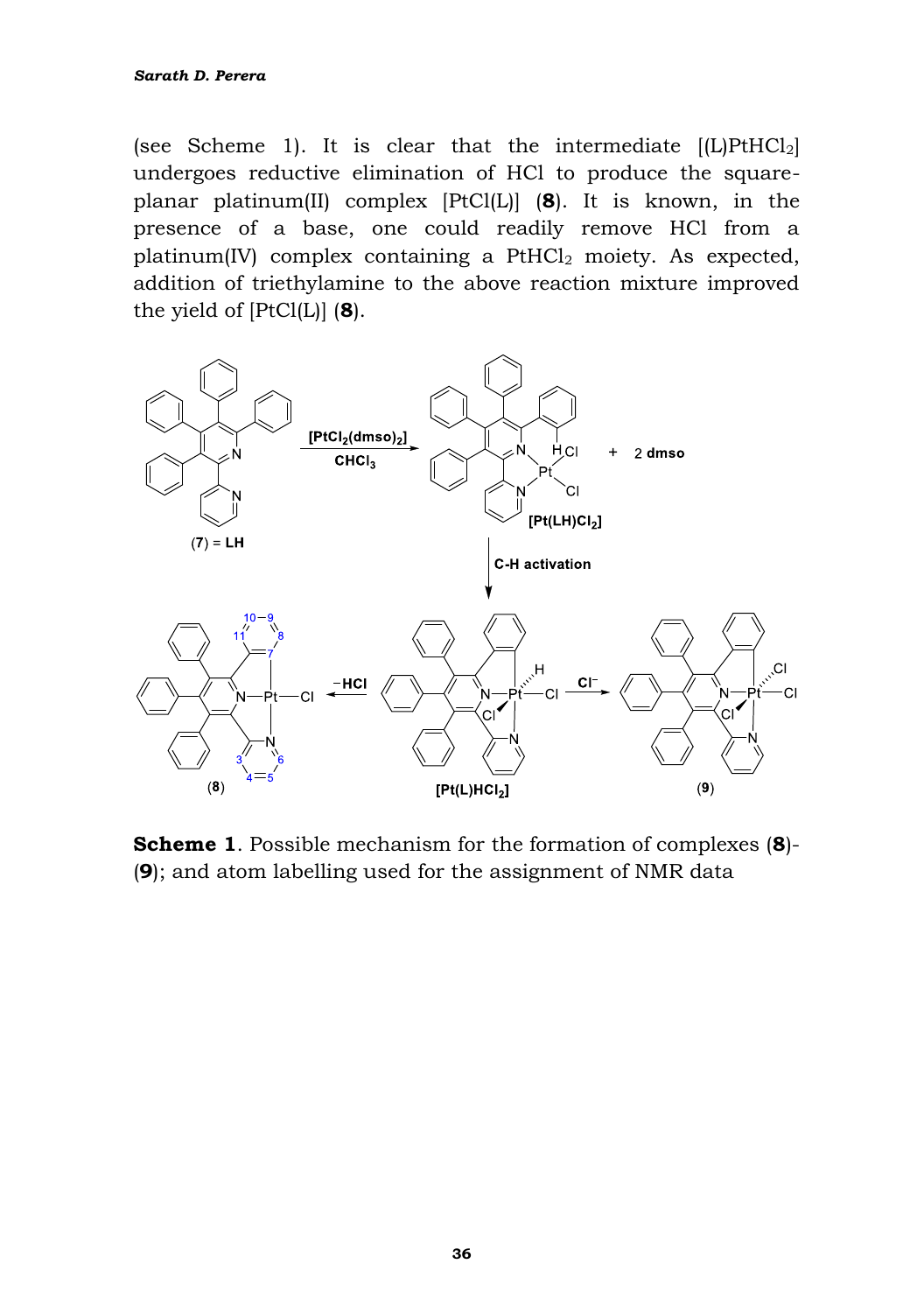(see Scheme 1). It is clear that the intermediate  $[(L)PtHCl<sub>2</sub>]$ undergoes reductive elimination of HCl to produce the squareplanar platinum(II) complex [PtCl(L)] (**8**). It is known, in the presence of a base, one could readily remove HCl from a platinum(IV) complex containing a  $PtHCl<sub>2</sub>$  moiety. As expected, addition of triethylamine to the above reaction mixture improved the yield of [PtCl(L)] (**8**).



**Scheme 1**. Possible mechanism for the formation of complexes (**8**)- (**9**); and atom labelling used for the assignment of NMR data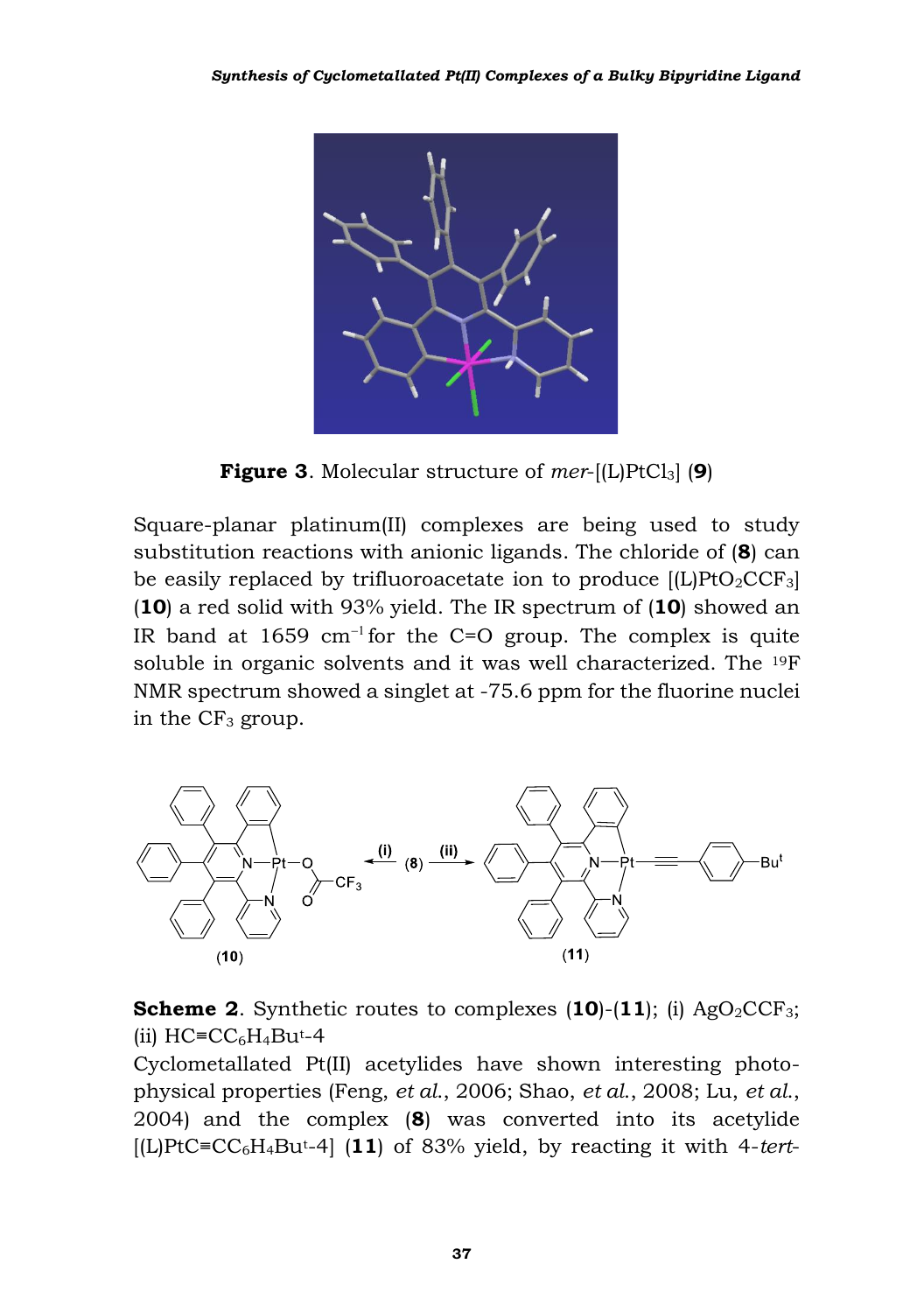

**Figure 3**. Molecular structure of *mer*-[(L)PtCl3] (**9**)

Square-planar platinum(II) complexes are being used to study substitution reactions with anionic ligands. The chloride of (**8**) can be easily replaced by trifluoroacetate ion to produce  $[L]PtO_2CCF_3$ (**10**) a red solid with 93% yield. The IR spectrum of (**10**) showed an IR band at 1659 cm<sup>-1</sup> for the C=O group. The complex is quite soluble in organic solvents and it was well characterized. The 19F NMR spectrum showed a singlet at -75.6 ppm for the fluorine nuclei in the  $CF_3$  group.



**Scheme 2.** Synthetic routes to complexes  $(10)-(11)$ ; (i) AgO<sub>2</sub>CCF<sub>3</sub>; (ii)  $HC = CC_6H_4Bu^{t-4}$ 

Cyclometallated Pt(II) acetylides have shown interesting photophysical properties (Feng, *et al*., 2006; Shao, *et al*., 2008; Lu, *et al*., 2004) and the complex (**8**) was converted into its acetylide [(L)PtC≡CC6H4But-4] (**11**) of 83% yield, by reacting it with 4-*tert*-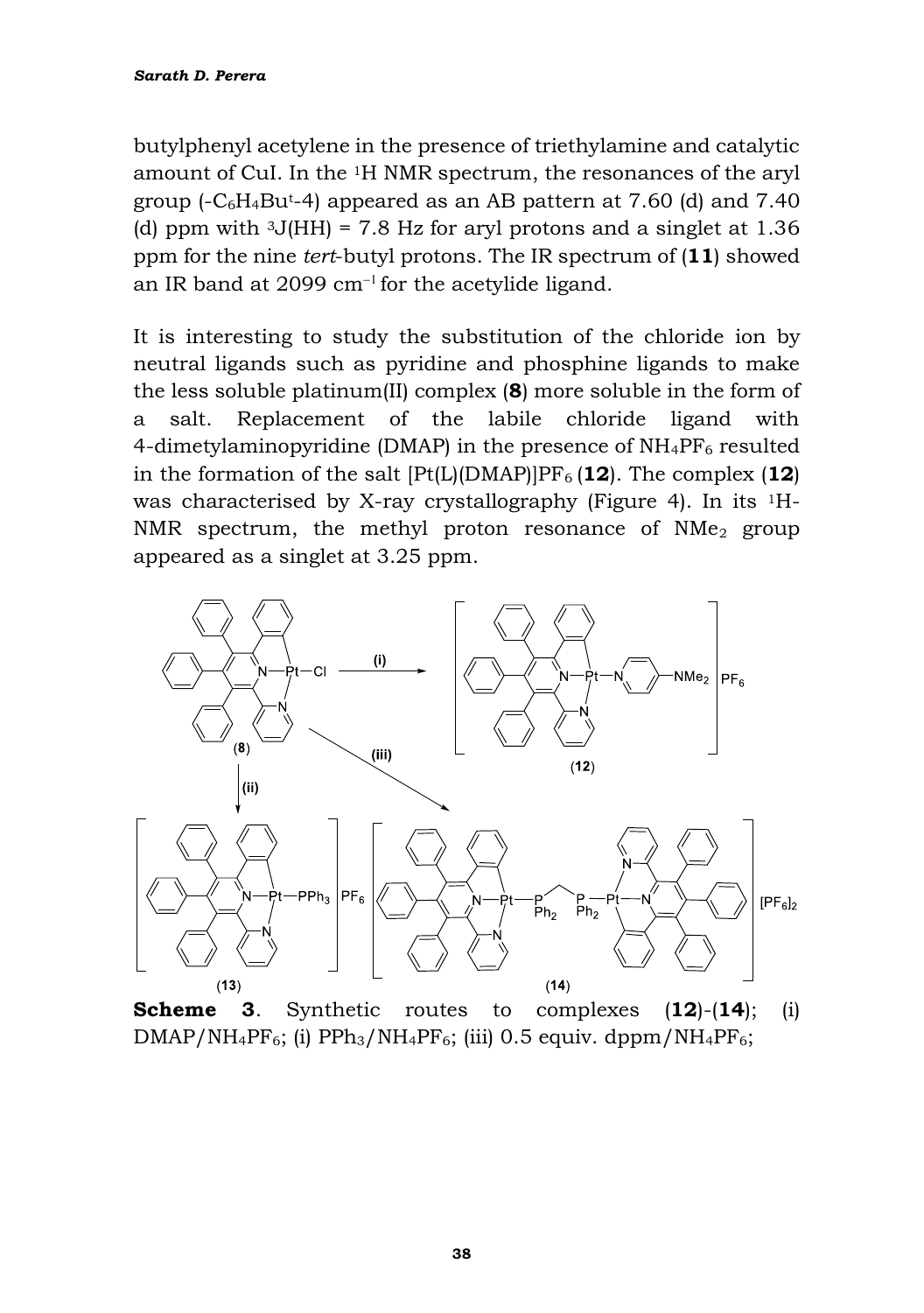butylphenyl acetylene in the presence of triethylamine and catalytic amount of CuI. In the 1H NMR spectrum, the resonances of the aryl group  $(-C_6H_4Bu^{t-4})$  appeared as an AB pattern at 7.60 (d) and 7.40 (d) ppm with  $3J(HH) = 7.8$  Hz for aryl protons and a singlet at 1.36 ppm for the nine *tert*-butyl protons. The IR spectrum of (**11**) showed an IR band at 2099  $cm^{-1}$  for the acetylide ligand.

It is interesting to study the substitution of the chloride ion by neutral ligands such as pyridine and phosphine ligands to make the less soluble platinum(II) complex (**8**) more soluble in the form of a salt. Replacement of the labile chloride ligand with 4-dimetylaminopyridine (DMAP) in the presence of  $NH_4PF_6$  resulted in the formation of the salt  $[Pt(L)(DMAP)]PF_6 (12)$ . The complex  $(12)$ was characterised by X-ray crystallography (Figure 4). In its 1H-NMR spectrum, the methyl proton resonance of  $NMe<sub>2</sub>$  group appeared as a singlet at 3.25 ppm.



**Scheme 3**. Synthetic routes to complexes (**12**)-(**14**); (i)  $DMAP/NH_4PF_6$ ; (i)  $PPh_3/NH_4PF_6$ ; (iii) 0.5 equiv. dppm/NH<sub>4</sub>PF<sub>6</sub>;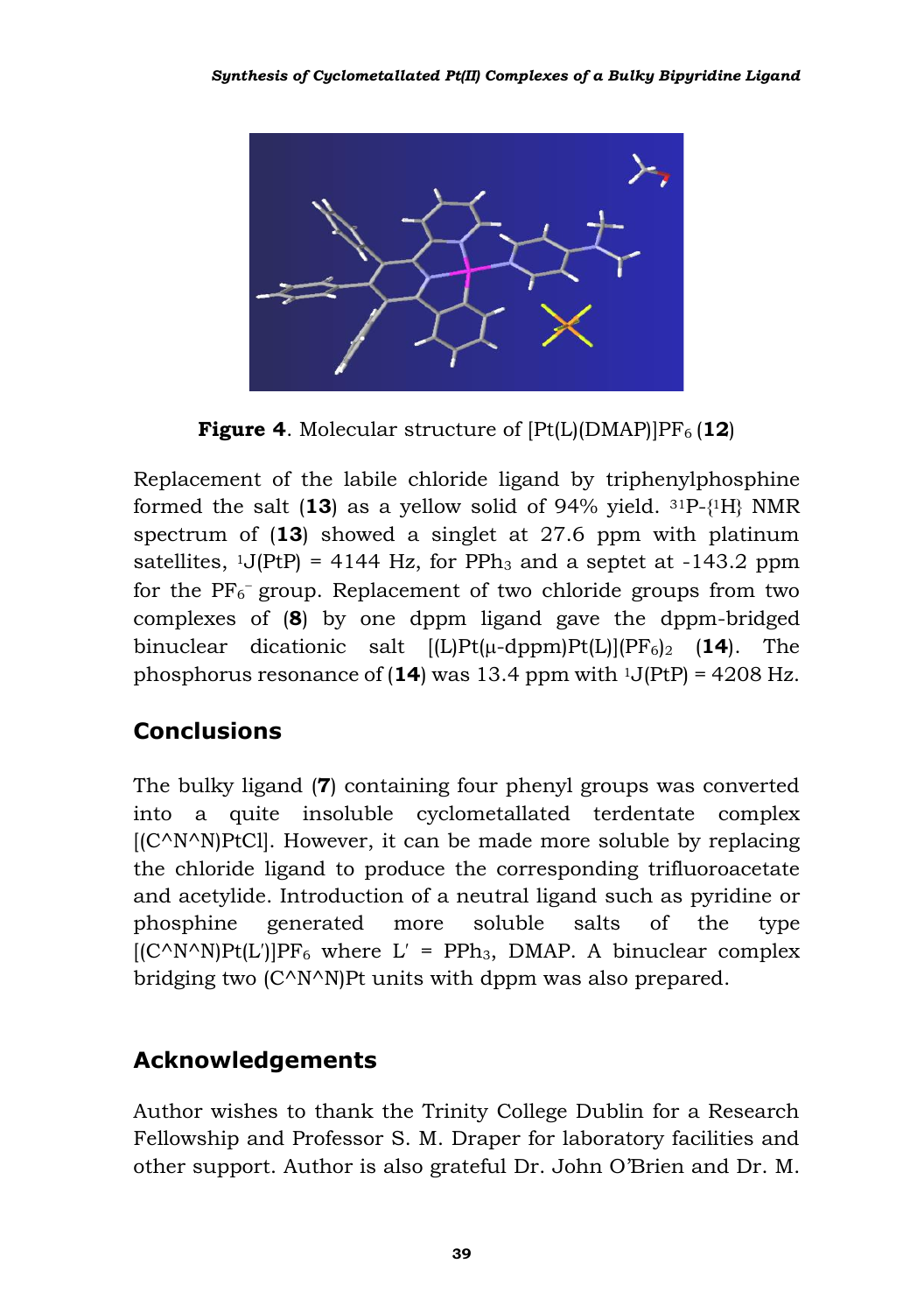

**Figure 4.** Molecular structure of  $[Pt(L)(DMAP)]PF_6$  (12)

Replacement of the labile chloride ligand by triphenylphosphine formed the salt  $(13)$  as a yellow solid of 94% yield.  $31P-\{1H\}$  NMR spectrum of (**13**) showed a singlet at 27.6 ppm with platinum satellites,  $1J(PtP) = 4144 Hz$ , for PPh<sub>3</sub> and a septet at -143.2 ppm for the  $PF_6$ <sup>-</sup> group. Replacement of two chloride groups from two complexes of (**8**) by one dppm ligand gave the dppm-bridged binuclear dicationic salt  $[(L)Pt(\mu-dppm)Pt(L)](PF_6)_2$  (14). The phosphorus resonance of  $(14)$  was 13.4 ppm with  $1J(PtP) = 4208 Hz$ .

# **Conclusions**

The bulky ligand (**7**) containing four phenyl groups was converted into a quite insoluble cyclometallated terdentate complex  $[(C^N N^N)P<sub>t</sub>C]<sub>l</sub>$ . However, it can be made more soluble by replacing the chloride ligand to produce the corresponding trifluoroacetate and acetylide. Introduction of a neutral ligand such as pyridine or phosphine generated more soluble salts of the type  $[(C^N N^N)Pt(L')]PF_6$  where  $L' = PPh_3$ , DMAP. A binuclear complex bridging two (C^N^N)Pt units with dppm was also prepared.

# **Acknowledgements**

Author wishes to thank the Trinity College Dublin for a Research Fellowship and Professor S. M. Draper for laboratory facilities and other support. Author is also grateful Dr. John O'Brien and Dr. M.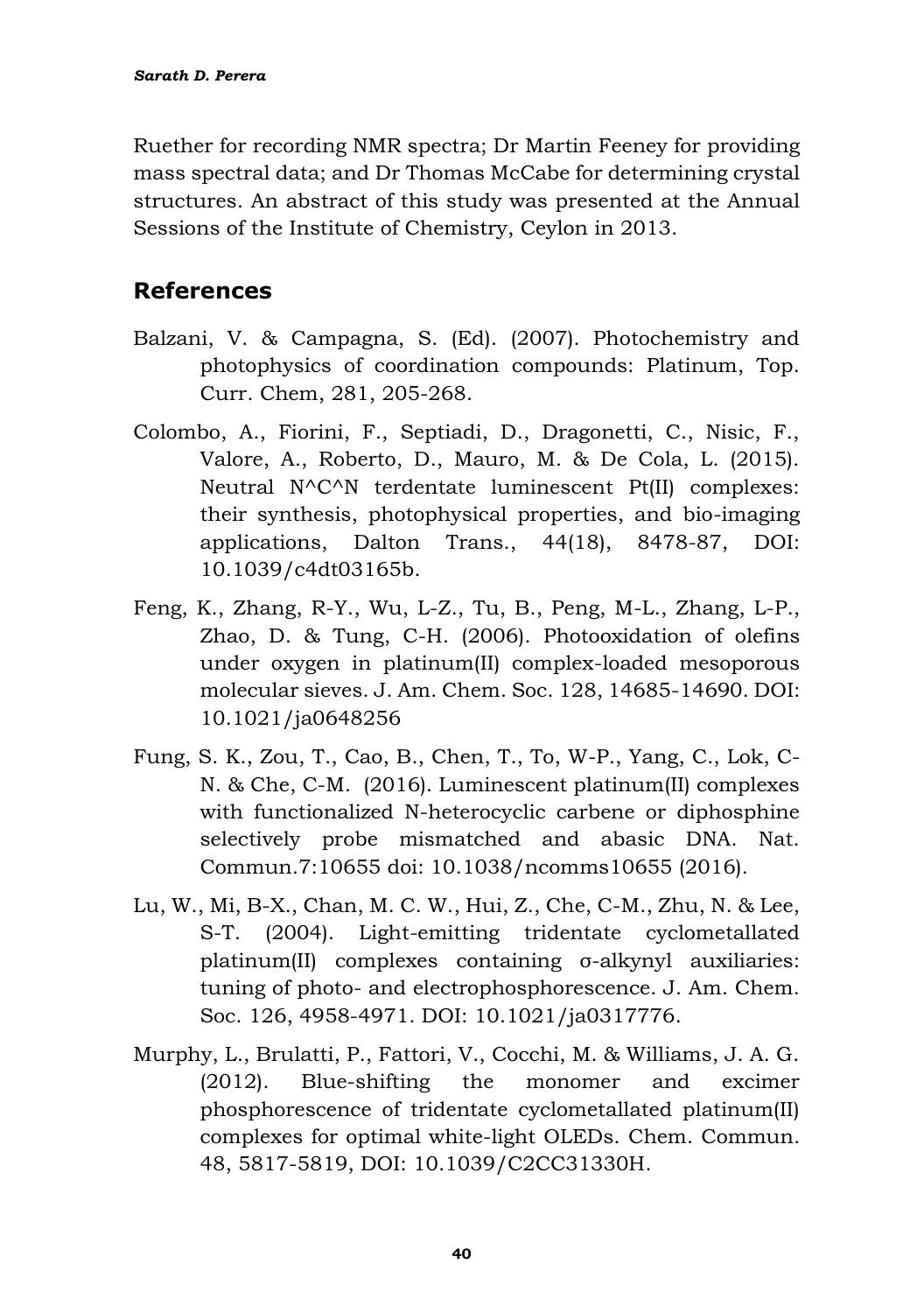Ruether for recording NMR spectra; Dr Martin Feeney for providing mass spectral data; and Dr Thomas McCabe for determining crystal structures. An abstract of this study was presented at the Annual Sessions of the Institute of Chemistry, Ceylon in 2013.

## **References**

- Balzani, V. & Campagna, S. (Ed). (2007). Photochemistry and photophysics of coordination compounds: Platinum, Top. Curr. Chem, 281, 205-268.
- Colombo, A., Fiorini, F., Septiadi, D., Dragonetti, C., Nisic, F., Valore, A., Roberto, D., Mauro, M. & De Cola, L. (2015). Neutral N^C^N terdentate luminescent Pt(II) complexes: their synthesis, photophysical properties, and bio-imaging applications, Dalton Trans., 44(18), 8478-87, DOI: 10.1039/c4dt03165b.
- Feng, K., Zhang, R-Y., Wu, L-Z., Tu, B., Peng, M-L., Zhang, L-P., Zhao, D. & Tung, C-H. (2006). Photooxidation of olefins under oxygen in platinum(II) complex-loaded mesoporous molecular sieves. J. Am. Chem. Soc. 128, 14685-14690. DOI: [10.1021/ja0648256](https://doi.org/10.1021/ja0648256)
- Fung, S. K., Zou, T., Cao, B., Chen, T., To, W-P., Yang, C., Lok, C-N. & Che, C-M. (2016). Luminescent platinum(II) complexes with functionalized N-heterocyclic carbene or diphosphine selectively probe mismatched and abasic DNA. Nat. Commun.7:10655 doi: 10.1038/ncomms10655 (2016).
- Lu, W., Mi, B-X., Chan, M. C. W., Hui, Z., Che, C-M., Zhu, N. & Lee, S-T. (2004). Light-emitting tridentate cyclometallated platinum(II) complexes containing σ-alkynyl auxiliaries: tuning of photo- and electrophosphorescence. J. Am. Chem. Soc. 126, 4958-4971. DOI: [10.1021/ja0317776.](https://doi.org/10.1021/ja0317776)
- Murphy, L., Brulatti, P., Fattori, V., Cocchi, M. & Williams, J. A. G. (2012). Blue-shifting the monomer and excimer phosphorescence of tridentate cyclometallated platinum(II) complexes for optimal white-light OLEDs. Chem. Commun. 48, 5817-5819, [DOI: 10.1039/C2CC31330H.](https://doi.org/10.1039/C2CC31330H)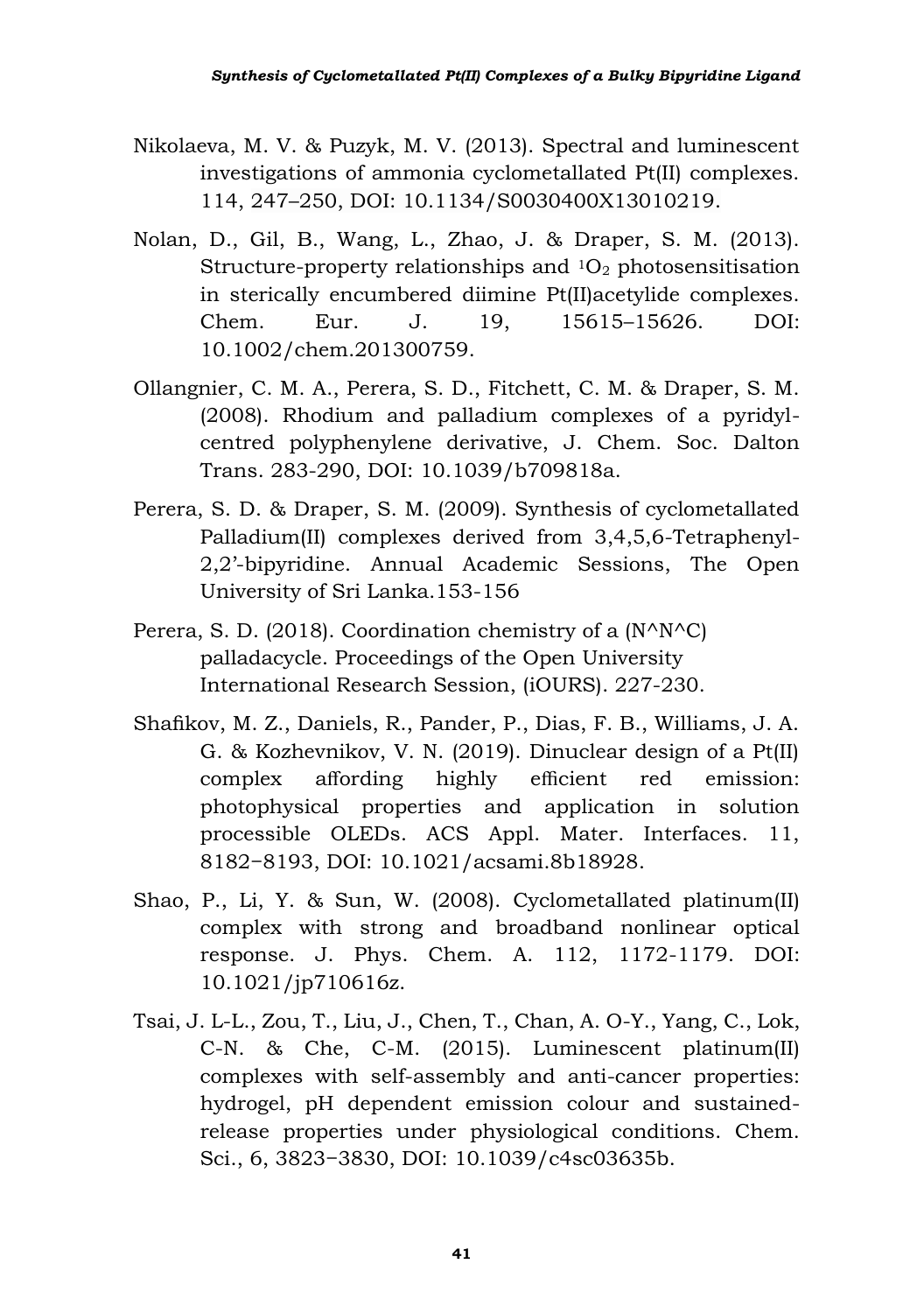- Nikolaeva, M. V. & Puzyk, M. V. (2013). Spectral and luminescent investigations of ammonia cyclometallated Pt(II) complexes. 114, 247–250, DOI: 10.1134/S0030400X13010219.
- Nolan, D., Gil, B., Wang, L., Zhao, J. & Draper, S. M. (2013). Structure-property relationships and  $10<sub>2</sub>$  photosensitisation in sterically encumbered diimine Pt(II)acetylide complexes. Chem. Eur. J. 19, 15615–15626. [DOI:](https://doi.org/10.1002/chem.201300759)  [10.1002/chem.201300759.](https://doi.org/10.1002/chem.201300759)
- Ollangnier, C. M. A., Perera, S. D., Fitchett, C. M. & Draper, S. M. (2008). Rhodium and palladium complexes of a pyridylcentred polyphenylene derivative, J. Chem. Soc. Dalton Trans. 283-290, DOI: [10.1039/b709818a.](https://doi.org/10.1039/b709818a)
- Perera, S. D. & Draper, S. M. (2009). Synthesis of cyclometallated Palladium(II) complexes derived from 3,4,5,6-Tetraphenyl-2,2'-bipyridine. Annual Academic Sessions, The Open University of Sri Lanka.153-156
- Perera, S. D. (2018). Coordination chemistry of a (N^N^C) palladacycle. Proceedings of the Open University International Research Session, (iOURS). 227-230.
- Shafikov, M. Z., Daniels, R., Pander, P., Dias, F. B., Williams, J. A. G. & Kozhevnikov, V. N. (2019). Dinuclear design of a Pt(II) complex affording highly efficient red emission: photophysical properties and application in solution processible OLEDs. ACS Appl. Mater. Interfaces. 11, 8182−8193, DOI: [10.1021/acsami.8b18928.](https://doi.org/10.1021/acsami.8b18928)
- Shao, P., Li, Y. & Sun, W. (2008). Cyclometallated platinum(II) complex with strong and broadband nonlinear optical response. J. Phys. Chem. A. 112, 1172-1179. [DOI:](https://doi.org/10.1021/jp710616z)  [10.1021/jp710616z.](https://doi.org/10.1021/jp710616z)
- Tsai, J. L-L., Zou, T., Liu, J., Chen, T., Chan, A. O-Y., Yang, C., Lok, C-N. & Che, C-M. (2015). Luminescent platinum(II) complexes with self-assembly and anti-cancer properties: hydrogel, pH dependent emission colour and sustainedrelease properties under physiological conditions. Chem. Sci., 6, 3823−3830, DOI: [10.1039/c4sc03635b.](https://doi.org/10.1039/c4sc03635b)